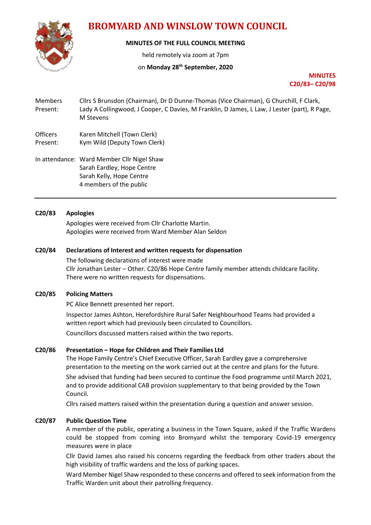

# **BROMYARD AND WINSLOW TOWN COUNCIL**

# **MINUTES OF THE FULL COUNCIL MEETING**

held remotely via zoom at 7pm

# on **Monday 28th September, 2020**

**MINUTES C20/83– C20/98**

- Members Cllrs S Brunsdon (Chairman), Dr D Dunne-Thomas (Vice Chairman), G Churchill, F Clark, Present: Lady A Collingwood, J Cooper, C Davies, M Franklin, D James, L Law, J Lester (part), R Page, M Stevens
- Officers Karen Mitchell (Town Clerk)
- Present: Kym Wild (Deputy Town Clerk)
- In attendance: Ward Member Cllr Nigel Shaw Sarah Eardley, Hope Centre Sarah Kelly, Hope Centre 4 members of the public

# **C20/83 Apologies**

Apologies were received from Cllr Charlotte Martin. Apologies were received from Ward Member Alan Seldon

# **C20/84 Declarations of Interest and written requests for dispensation**

The following declarations of interest were made Cllr Jonathan Lester – Other. C20/86 Hope Centre family member attends childcare facility. There were no written requests for dispensations.

# **C20/85 Policing Matters**

PC Alice Bennett presented her report.

Inspector James Ashton, Herefordshire Rural Safer Neighbourhood Teams had provided a written report which had previously been circulated to Councillors. Councillors discussed matters raised within the two reports.

# **C20/86 Presentation – Hope for Children and Their Families Ltd**

The Hope Family Centre's Chief Executive Officer, Sarah Eardley gave a comprehensive presentation to the meeting on the work carried out at the centre and plans for the future.

She advised that funding had been secured to continue the Food programme until March 2021, and to provide additional CAB provision supplementary to that being provided by the Town Council.

Cllrs raised matters raised within the presentation during a question and answer session.

# **C20/87 Public Question Time**

A member of the public, operating a business in the Town Square, asked if the Traffic Wardens could be stopped from coming into Bromyard whilst the temporary Covid-19 emergency measures were in place

Cllr David James also raised his concerns regarding the feedback from other traders about the high visibility of traffic wardens and the loss of parking spaces.

Ward Member Nigel Shaw responded to these concerns and offered to seek information from the Traffic Warden unit about their patrolling frequency.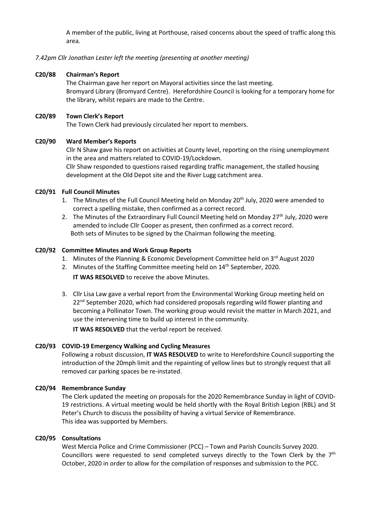A member of the public, living at Porthouse, raised concerns about the speed of traffic along this area.

## *7.42pm Cllr Jonathan Lester left the meeting (presenting at another meeting)*

## **C20/88 Chairman's Report**

The Chairman gave her report on Mayoral activities since the last meeting. Bromyard Library (Bromyard Centre). Herefordshire Council is looking for a temporary home for the library, whilst repairs are made to the Centre.

#### **C20/89 Town Clerk's Report**

The Town Clerk had previously circulated her report to members.

#### **C20/90 Ward Member's Reports**

Cllr N Shaw gave his report on activities at County level, reporting on the rising unemployment in the area and matters related to COVID-19/Lockdown. Cllr Shaw responded to questions raised regarding traffic management, the stalled housing

development at the Old Depot site and the River Lugg catchment area.

#### **C20/91 Full Council Minutes**

- 1. The Minutes of the Full Council Meeting held on Monday  $20<sup>th</sup>$  July, 2020 were amended to correct a spelling mistake, then confirmed as a correct record.
- 2. The Minutes of the Extraordinary Full Council Meeting held on Monday  $27<sup>th</sup>$  July, 2020 were amended to include Cllr Cooper as present, then confirmed as a correct record. Both sets of Minutes to be signed by the Chairman following the meeting.

#### **C20/92 Committee Minutes and Work Group Reports**

- 1. Minutes of the Planning & Economic Development Committee held on  $3^{rd}$  August 2020
- 2. Minutes of the Staffing Committee meeting held on 14<sup>th</sup> September, 2020.

**IT WAS RESOLVED** to receive the above Minutes.

3. Cllr Lisa Law gave a verbal report from the Environmental Working Group meeting held on  $22<sup>nd</sup>$  September 2020, which had considered proposals regarding wild flower planting and becoming a Pollinator Town. The working group would revisit the matter in March 2021, and use the intervening time to build up interest in the community.

**IT WAS RESOLVED** that the verbal report be received.

#### **C20/93 COVID-19 Emergency Walking and Cycling Measures**

Following a robust discussion, **IT WAS RESOLVED** to write to Herefordshire Council supporting the introduction of the 20mph limit and the repainting of yellow lines but to strongly request that all removed car parking spaces be re-instated.

#### **C20/94 Remembrance Sunday**

The Clerk updated the meeting on proposals for the 2020 Remembrance Sunday in light of COVID-19 restrictions. A virtual meeting would be held shortly with the Royal British Legion (RBL) and St Peter's Church to discuss the possibility of having a virtual Service of Remembrance. This idea was supported by Members.

#### **C20/95 Consultations**

West Mercia Police and Crime Commissioner (PCC) – Town and Parish Councils Survey 2020. Councillors were requested to send completed surveys directly to the Town Clerk by the  $7<sup>th</sup>$ October, 2020 in order to allow for the compilation of responses and submission to the PCC.